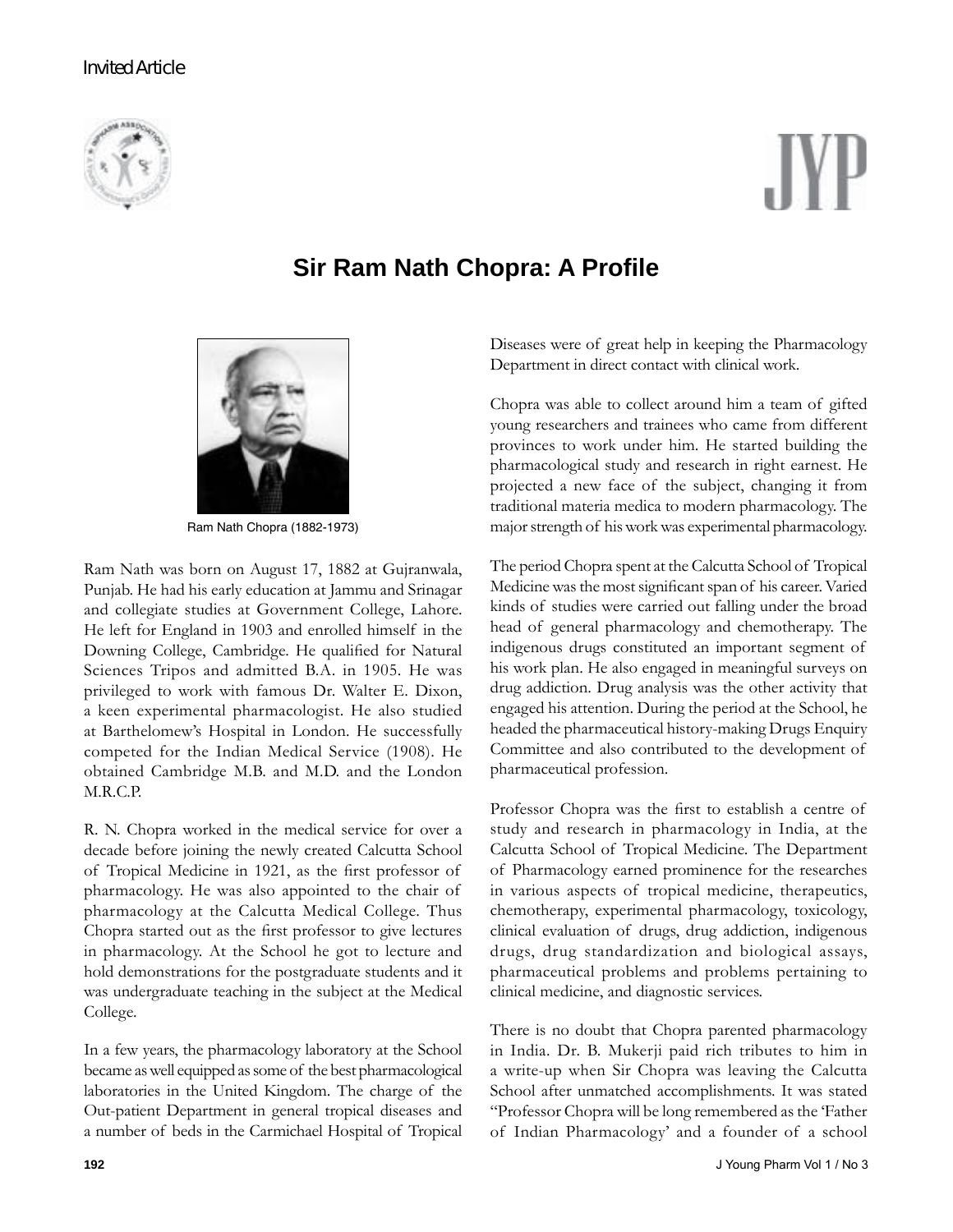# **Invited Article**



# **Sir Ram Nath Chopra: A Profile**



Ram Nath Chopra (1882-1973)

Ram Nath was born on August 17, 1882 at Gujranwala, Punjab. He had his early education at Jammu and Srinagar and collegiate studies at Government College, Lahore. He left for England in 1903 and enrolled himself in the Downing College, Cambridge. He qualified for Natural Sciences Tripos and admitted B.A. in 1905. He was privileged to work with famous Dr. Walter E. Dixon, a keen experimental pharmacologist. He also studied at Barthelomewís Hospital in London. He successfully competed for the Indian Medical Service (1908). He obtained Cambridge M.B. and M.D. and the London M.R.C.P.

R. N. Chopra worked in the medical service for over a decade before joining the newly created Calcutta School of Tropical Medicine in 1921, as the first professor of pharmacology. He was also appointed to the chair of pharmacology at the Calcutta Medical College. Thus Chopra started out as the first professor to give lectures in pharmacology. At the School he got to lecture and hold demonstrations for the postgraduate students and it was undergraduate teaching in the subject at the Medical College.

In a few years, the pharmacology laboratory at the School became as well equipped as some of the best pharmacological laboratories in the United Kingdom. The charge of the Out-patient Department in general tropical diseases and a number of beds in the Carmichael Hospital of Tropical Diseases were of great help in keeping the Pharmacology Department in direct contact with clinical work.

Chopra was able to collect around him a team of gifted young researchers and trainees who came from different provinces to work under him. He started building the pharmacological study and research in right earnest. He projected a new face of the subject, changing it from traditional materia medica to modern pharmacology. The major strength of his work was experimental pharmacology.

The period Chopra spent at the Calcutta School of Tropical Medicine was the most significant span of his career. Varied kinds of studies were carried out falling under the broad head of general pharmacology and chemotherapy. The indigenous drugs constituted an important segment of his work plan. He also engaged in meaningful surveys on drug addiction. Drug analysis was the other activity that engaged his attention. During the period at the School, he headed the pharmaceutical history-making Drugs Enquiry Committee and also contributed to the development of pharmaceutical profession.

Professor Chopra was the first to establish a centre of study and research in pharmacology in India, at the Calcutta School of Tropical Medicine. The Department of Pharmacology earned prominence for the researches in various aspects of tropical medicine, therapeutics, chemotherapy, experimental pharmacology, toxicology, clinical evaluation of drugs, drug addiction, indigenous drugs, drug standardization and biological assays, pharmaceutical problems and problems pertaining to clinical medicine, and diagnostic services.

There is no doubt that Chopra parented pharmacology in India. Dr. B. Mukerji paid rich tributes to him in a write-up when Sir Chopra was leaving the Calcutta School after unmatched accomplishments. It was stated ìProfessor Chopra will be long remembered as the ëFather of Indian Pharmacology' and a founder of a school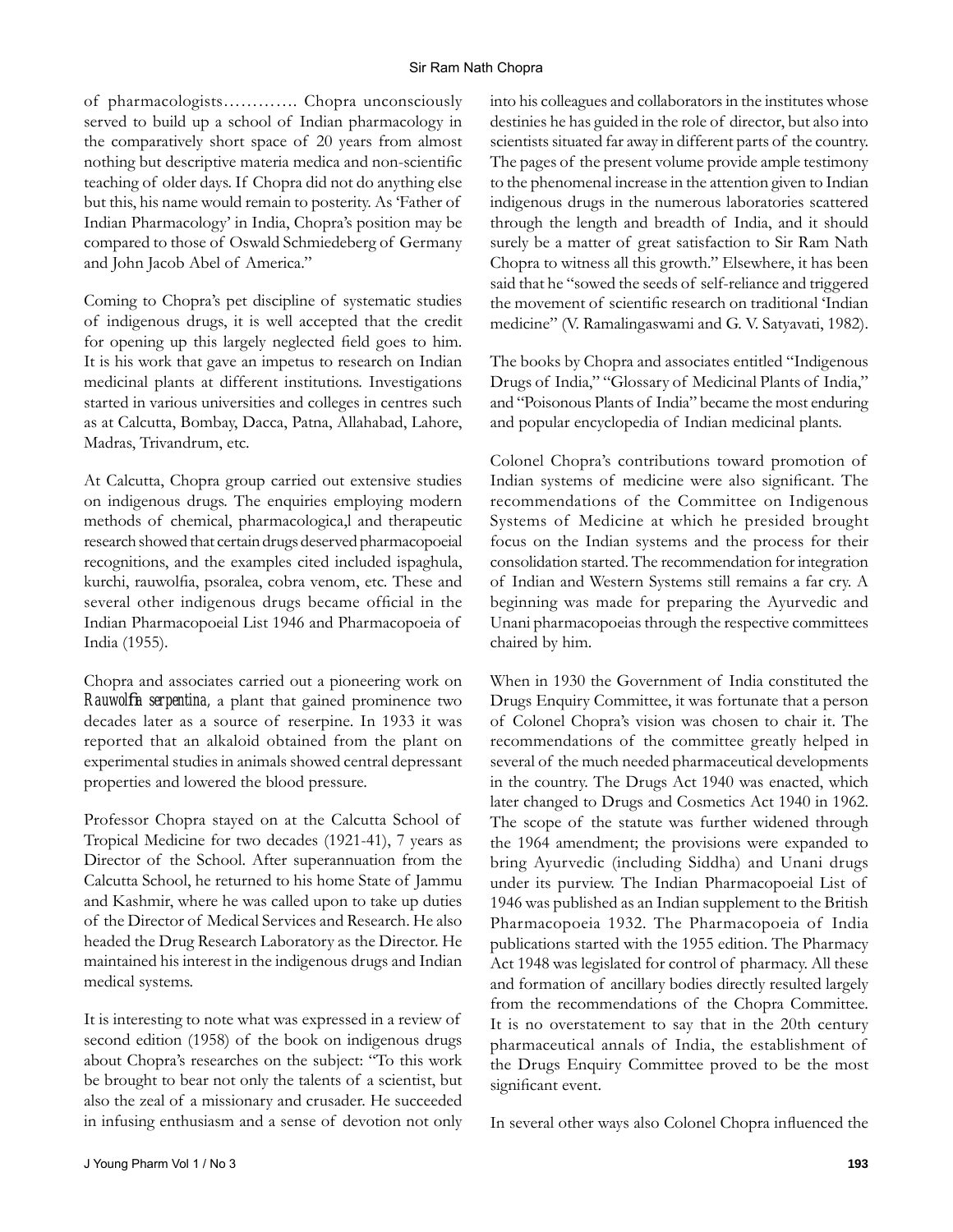#### Sir Ram Nath Chopra

of pharmacologists............. Chopra unconsciously served to build up a school of Indian pharmacology in the comparatively short space of 20 years from almost nothing but descriptive materia medica and non-scientific teaching of older days. If Chopra did not do anything else but this, his name would remain to posterity. As 'Father of Indian Pharmacology' in India, Chopra's position may be compared to those of Oswald Schmiedeberg of Germany and John Jacob Abel of America."

Coming to Chopra's pet discipline of systematic studies of indigenous drugs, it is well accepted that the credit for opening up this largely neglected field goes to him. It is his work that gave an impetus to research on Indian medicinal plants at different institutions. Investigations started in various universities and colleges in centres such as at Calcutta, Bombay, Dacca, Patna, Allahabad, Lahore, Madras, Trivandrum, etc.

At Calcutta, Chopra group carried out extensive studies on indigenous drugs. The enquiries employing modern methods of chemical, pharmacologica,l and therapeutic research showed that certain drugs deserved pharmacopoeial recognitions, and the examples cited included ispaghula, kurchi, rauwolfia, psoralea, cobra venom, etc. These and several other indigenous drugs became official in the Indian Pharmacopoeial List 1946 and Pharmacopoeia of India (1955).

Chopra and associates carried out a pioneering work on *Rauwolfia serpentina*, a plant that gained prominence two decades later as a source of reserpine. In 1933 it was reported that an alkaloid obtained from the plant on experimental studies in animals showed central depressant properties and lowered the blood pressure.

Professor Chopra stayed on at the Calcutta School of Tropical Medicine for two decades (1921-41), 7 years as Director of the School. After superannuation from the Calcutta School, he returned to his home State of Jammu and Kashmir, where he was called upon to take up duties of the Director of Medical Services and Research. He also headed the Drug Research Laboratory as the Director. He maintained his interest in the indigenous drugs and Indian medical systems.

It is interesting to note what was expressed in a review of second edition (1958) of the book on indigenous drugs about Chopra's researches on the subject: "To this work be brought to bear not only the talents of a scientist, but also the zeal of a missionary and crusader. He succeeded in infusing enthusiasm and a sense of devotion not only

into his colleagues and collaborators in the institutes whose destinies he has guided in the role of director, but also into scientists situated far away in different parts of the country. The pages of the present volume provide ample testimony to the phenomenal increase in the attention given to Indian indigenous drugs in the numerous laboratories scattered through the length and breadth of India, and it should surely be a matter of great satisfaction to Sir Ram Nath Chopra to witness all this growth." Elsewhere, it has been said that he "sowed the seeds of self-reliance and triggered the movement of scientific research on traditional 'Indian medicine" (V. Ramalingaswami and G. V. Satyavati, 1982).

The books by Chopra and associates entitled "Indigenous Drugs of India," "Glossary of Medicinal Plants of India," and "Poisonous Plants of India" became the most enduring and popular encyclopedia of Indian medicinal plants.

Colonel Chopraís contributions toward promotion of Indian systems of medicine were also significant. The recommendations of the Committee on Indigenous Systems of Medicine at which he presided brought focus on the Indian systems and the process for their consolidation started. The recommendation for integration of Indian and Western Systems still remains a far cry. A beginning was made for preparing the Ayurvedic and Unani pharmacopoeias through the respective committees chaired by him.

When in 1930 the Government of India constituted the Drugs Enquiry Committee, it was fortunate that a person of Colonel Chopraís vision was chosen to chair it. The recommendations of the committee greatly helped in several of the much needed pharmaceutical developments in the country. The Drugs Act 1940 was enacted, which later changed to Drugs and Cosmetics Act 1940 in 1962. The scope of the statute was further widened through the 1964 amendment; the provisions were expanded to bring Ayurvedic (including Siddha) and Unani drugs under its purview. The Indian Pharmacopoeial List of 1946 was published as an Indian supplement to the British Pharmacopoeia 1932. The Pharmacopoeia of India publications started with the 1955 edition. The Pharmacy Act 1948 was legislated for control of pharmacy. All these and formation of ancillary bodies directly resulted largely from the recommendations of the Chopra Committee. It is no overstatement to say that in the 20th century pharmaceutical annals of India, the establishment of the Drugs Enquiry Committee proved to be the most significant event.

In several other ways also Colonel Chopra influenced the